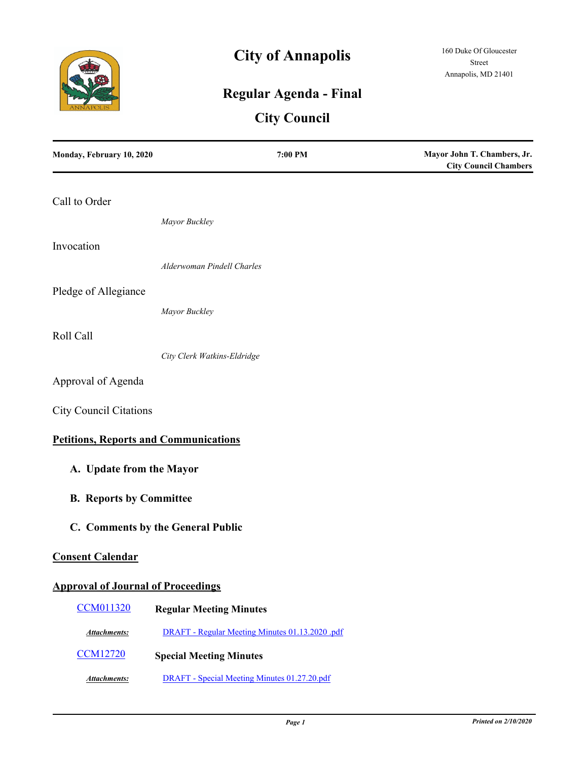

# **City of Annapolis**

## **Regular Agenda - Final**

## **City Council**

| Monday, February 10, 2020                    | 7:00 PM                                         | Mayor John T. Chambers, Jr.<br><b>City Council Chambers</b> |
|----------------------------------------------|-------------------------------------------------|-------------------------------------------------------------|
| Call to Order                                |                                                 |                                                             |
|                                              | Mayor Buckley                                   |                                                             |
| Invocation                                   |                                                 |                                                             |
|                                              | Alderwoman Pindell Charles                      |                                                             |
| Pledge of Allegiance                         |                                                 |                                                             |
|                                              | Mayor Buckley                                   |                                                             |
| Roll Call                                    |                                                 |                                                             |
|                                              | City Clerk Watkins-Eldridge                     |                                                             |
| Approval of Agenda                           |                                                 |                                                             |
| <b>City Council Citations</b>                |                                                 |                                                             |
| <b>Petitions, Reports and Communications</b> |                                                 |                                                             |
| A. Update from the Mayor                     |                                                 |                                                             |
| <b>B.</b> Reports by Committee               |                                                 |                                                             |
|                                              | C. Comments by the General Public               |                                                             |
| <b>Consent Calendar</b>                      |                                                 |                                                             |
| <b>Approval of Journal of Proceedings</b>    |                                                 |                                                             |
| <b>CCM011320</b>                             | <b>Regular Meeting Minutes</b>                  |                                                             |
| <b>Attachments:</b>                          | DRAFT - Regular Meeting Minutes 01.13.2020 .pdf |                                                             |
| <b>CCM12720</b>                              | <b>Special Meeting Minutes</b>                  |                                                             |
| <b>Attachments:</b>                          | DRAFT - Special Meeting Minutes 01.27.20.pdf    |                                                             |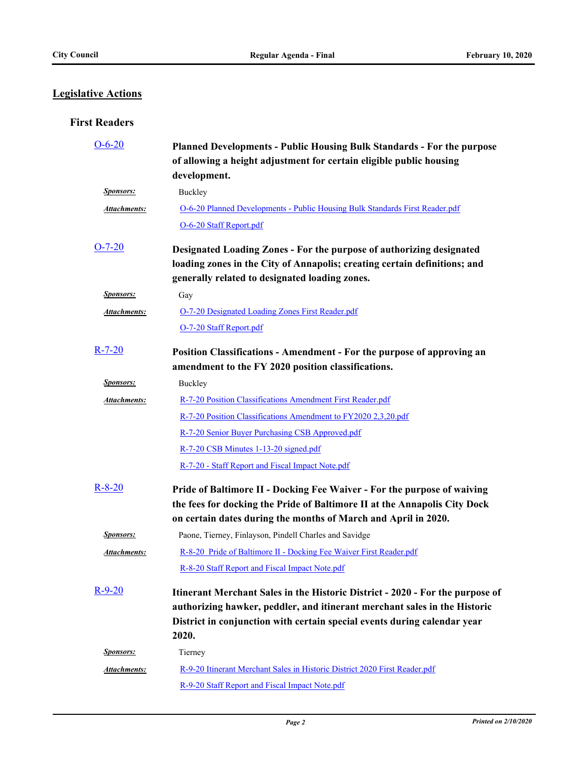### **Legislative Actions**

#### **First Readers**

| $O-6-20$            | <b>Planned Developments - Public Housing Bulk Standards - For the purpose</b><br>of allowing a height adjustment for certain eligible public housing<br>development.                                                   |
|---------------------|------------------------------------------------------------------------------------------------------------------------------------------------------------------------------------------------------------------------|
| <b>Sponsors:</b>    | Buckley                                                                                                                                                                                                                |
| <b>Attachments:</b> | O-6-20 Planned Developments - Public Housing Bulk Standards First Reader.pdf                                                                                                                                           |
|                     | O-6-20 Staff Report.pdf                                                                                                                                                                                                |
| $O-7-20$            | Designated Loading Zones - For the purpose of authorizing designated                                                                                                                                                   |
|                     | loading zones in the City of Annapolis; creating certain definitions; and<br>generally related to designated loading zones.                                                                                            |
| <b>Sponsors:</b>    | Gay                                                                                                                                                                                                                    |
| Attachments:        | O-7-20 Designated Loading Zones First Reader.pdf                                                                                                                                                                       |
|                     | O-7-20 Staff Report.pdf                                                                                                                                                                                                |
| $R-7-20$            | Position Classifications - Amendment - For the purpose of approving an<br>amendment to the FY 2020 position classifications.                                                                                           |
| <b>Sponsors:</b>    | Buckley                                                                                                                                                                                                                |
| <b>Attachments:</b> | R-7-20 Position Classifications Amendment First Reader.pdf                                                                                                                                                             |
|                     | R-7-20 Position Classifications Amendment to FY2020 2,3,20.pdf                                                                                                                                                         |
|                     | R-7-20 Senior Buyer Purchasing CSB Approved.pdf                                                                                                                                                                        |
|                     | R-7-20 CSB Minutes 1-13-20 signed.pdf                                                                                                                                                                                  |
|                     | R-7-20 - Staff Report and Fiscal Impact Note.pdf                                                                                                                                                                       |
| $R - 8 - 20$        | Pride of Baltimore II - Docking Fee Waiver - For the purpose of waiving<br>the fees for docking the Pride of Baltimore II at the Annapolis City Dock<br>on certain dates during the months of March and April in 2020. |
| <b>Sponsors:</b>    | Paone, Tierney, Finlayson, Pindell Charles and Savidge                                                                                                                                                                 |
| Attachments:        | R-8-20 Pride of Baltimore II - Docking Fee Waiver First Reader.pdf                                                                                                                                                     |
|                     | R-8-20 Staff Report and Fiscal Impact Note.pdf                                                                                                                                                                         |
| $R-9-20$            | Itinerant Merchant Sales in the Historic District - 2020 - For the purpose of                                                                                                                                          |
|                     | authorizing hawker, peddler, and itinerant merchant sales in the Historic                                                                                                                                              |
|                     | District in conjunction with certain special events during calendar year<br>2020.                                                                                                                                      |
| <b>Sponsors:</b>    | Tierney                                                                                                                                                                                                                |
| Attachments:        | R-9-20 Itinerant Merchant Sales in Historic District 2020 First Reader.pdf                                                                                                                                             |
|                     | R-9-20 Staff Report and Fiscal Impact Note.pdf                                                                                                                                                                         |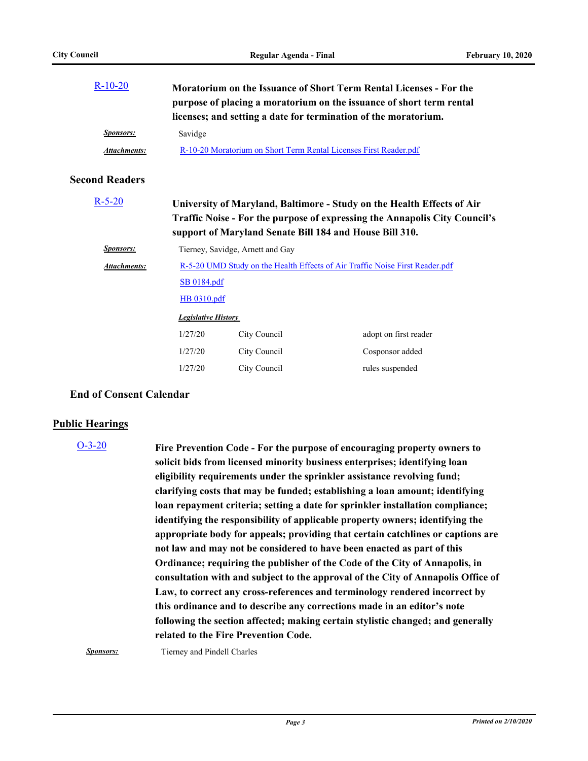| $R-10-20$             |                                                                                             |              | Moratorium on the Issuance of Short Term Rental Licenses - For the<br>purpose of placing a moratorium on the issuance of short term rental<br>licenses; and setting a date for termination of the moratorium.   |  |
|-----------------------|---------------------------------------------------------------------------------------------|--------------|-----------------------------------------------------------------------------------------------------------------------------------------------------------------------------------------------------------------|--|
| <b>Sponsors:</b>      | Savidge                                                                                     |              |                                                                                                                                                                                                                 |  |
| <b>Attachments:</b>   | R-10-20 Moratorium on Short Term Rental Licenses First Reader.pdf                           |              |                                                                                                                                                                                                                 |  |
| <b>Second Readers</b> |                                                                                             |              |                                                                                                                                                                                                                 |  |
| $R - 5 - 20$          |                                                                                             |              | University of Maryland, Baltimore - Study on the Health Effects of Air<br>Traffic Noise - For the purpose of expressing the Annapolis City Council's<br>support of Maryland Senate Bill 184 and House Bill 310. |  |
| <b>Sponsors:</b>      | Tierney, Savidge, Arnett and Gay                                                            |              |                                                                                                                                                                                                                 |  |
| Attachments:          | R-5-20 UMD Study on the Health Effects of Air Traffic Noise First Reader.pdf<br>SB 0184.pdf |              |                                                                                                                                                                                                                 |  |
|                       |                                                                                             |              |                                                                                                                                                                                                                 |  |
|                       | HB 0310.pdf                                                                                 |              |                                                                                                                                                                                                                 |  |
|                       | <b>Legislative History</b>                                                                  |              |                                                                                                                                                                                                                 |  |
|                       | 1/27/20                                                                                     | City Council | adopt on first reader                                                                                                                                                                                           |  |
|                       | 1/27/20                                                                                     | City Council | Cosponsor added                                                                                                                                                                                                 |  |
|                       | 1/27/20                                                                                     | City Council | rules suspended                                                                                                                                                                                                 |  |

#### **End of Consent Calendar**

#### **Public Hearings**

**Fire Prevention Code - For the purpose of encouraging property owners to solicit bids from licensed minority business enterprises; identifying loan eligibility requirements under the sprinkler assistance revolving fund; clarifying costs that may be funded; establishing a loan amount; identifying loan repayment criteria; setting a date for sprinkler installation compliance; identifying the responsibility of applicable property owners; identifying the appropriate body for appeals; providing that certain catchlines or captions are not law and may not be considered to have been enacted as part of this Ordinance; requiring the publisher of the Code of the City of Annapolis, in consultation with and subject to the approval of the City of Annapolis Office of Law, to correct any cross-references and terminology rendered incorrect by this ordinance and to describe any corrections made in an editor's note following the section affected; making certain stylistic changed; and generally related to the Fire Prevention Code.** [O-3-20](http://annapolismd.legistar.com/gateway.aspx?m=l&id=/matter.aspx?key=4603)

**Sponsors:** Tierney and Pindell Charles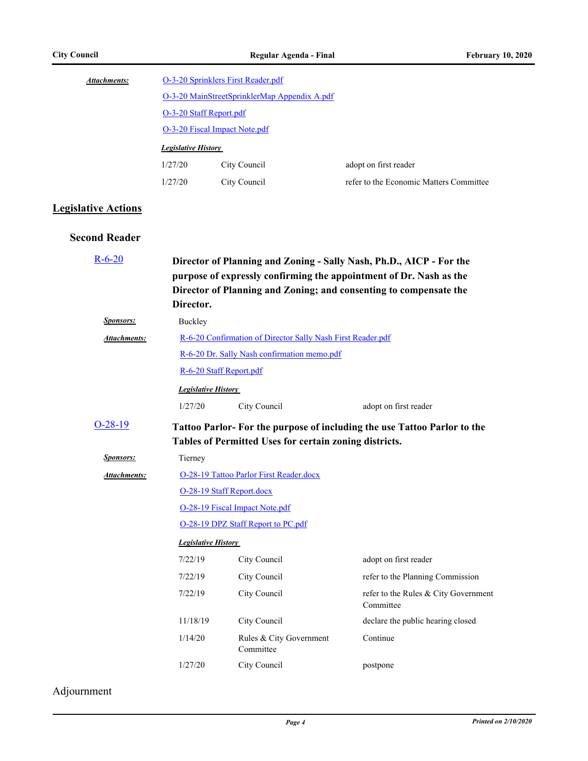| Attachments: | O-3-20 Sprinklers First Reader.pdf           |                            |                                         |  |
|--------------|----------------------------------------------|----------------------------|-----------------------------------------|--|
|              | O-3-20 MainStreetSprinklerMap Appendix A.pdf |                            |                                         |  |
|              | O-3-20 Staff Report.pdf                      |                            |                                         |  |
|              | O-3-20 Fiscal Impact Note.pdf                |                            |                                         |  |
|              |                                              | <b>Legislative History</b> |                                         |  |
|              | 1/27/20                                      | City Council               | adopt on first reader                   |  |
|              | 1/27/20                                      | City Council               | refer to the Economic Matters Committee |  |

### **Legislative Actions**

#### **Second Reader**

| $R - 6 - 20$     | Director.                                                   |                                                        | Director of Planning and Zoning - Sally Nash, Ph.D., AICP - For the<br>purpose of expressly confirming the appointment of Dr. Nash as the<br>Director of Planning and Zoning; and consenting to compensate the |  |  |
|------------------|-------------------------------------------------------------|--------------------------------------------------------|----------------------------------------------------------------------------------------------------------------------------------------------------------------------------------------------------------------|--|--|
| <b>Sponsors:</b> | Buckley                                                     |                                                        |                                                                                                                                                                                                                |  |  |
| Attachments:     | R-6-20 Confirmation of Director Sally Nash First Reader.pdf |                                                        |                                                                                                                                                                                                                |  |  |
|                  | R-6-20 Dr. Sally Nash confirmation memo.pdf                 |                                                        |                                                                                                                                                                                                                |  |  |
|                  | R-6-20 Staff Report.pdf                                     |                                                        |                                                                                                                                                                                                                |  |  |
|                  | <b>Legislative History</b>                                  |                                                        |                                                                                                                                                                                                                |  |  |
|                  | 1/27/20                                                     | City Council                                           | adopt on first reader                                                                                                                                                                                          |  |  |
| $O-28-19$        |                                                             | Tables of Permitted Uses for certain zoning districts. | Tattoo Parlor-For the purpose of including the use Tattoo Parlor to the                                                                                                                                        |  |  |
| <b>Sponsors:</b> | Tierney                                                     |                                                        |                                                                                                                                                                                                                |  |  |
| Attachments:     | O-28-19 Tattoo Parlor First Reader.docx                     |                                                        |                                                                                                                                                                                                                |  |  |
|                  | O-28-19 Staff Report.docx                                   |                                                        |                                                                                                                                                                                                                |  |  |
|                  |                                                             | O-28-19 Fiscal Impact Note.pdf                         |                                                                                                                                                                                                                |  |  |
|                  | O-28-19 DPZ Staff Report to PC.pdf                          |                                                        |                                                                                                                                                                                                                |  |  |
|                  | <b>Legislative History</b>                                  |                                                        |                                                                                                                                                                                                                |  |  |
|                  | 7/22/19                                                     | City Council                                           | adopt on first reader                                                                                                                                                                                          |  |  |
|                  | 7/22/19                                                     | City Council                                           | refer to the Planning Commission                                                                                                                                                                               |  |  |
|                  | 7/22/19                                                     | City Council                                           | refer to the Rules & City Government<br>Committee                                                                                                                                                              |  |  |
|                  | 11/18/19                                                    | City Council                                           | declare the public hearing closed                                                                                                                                                                              |  |  |
|                  | 1/14/20                                                     | Rules & City Government<br>Committee                   | Continue                                                                                                                                                                                                       |  |  |
|                  | 1/27/20                                                     | City Council                                           | postpone                                                                                                                                                                                                       |  |  |

Adjournment